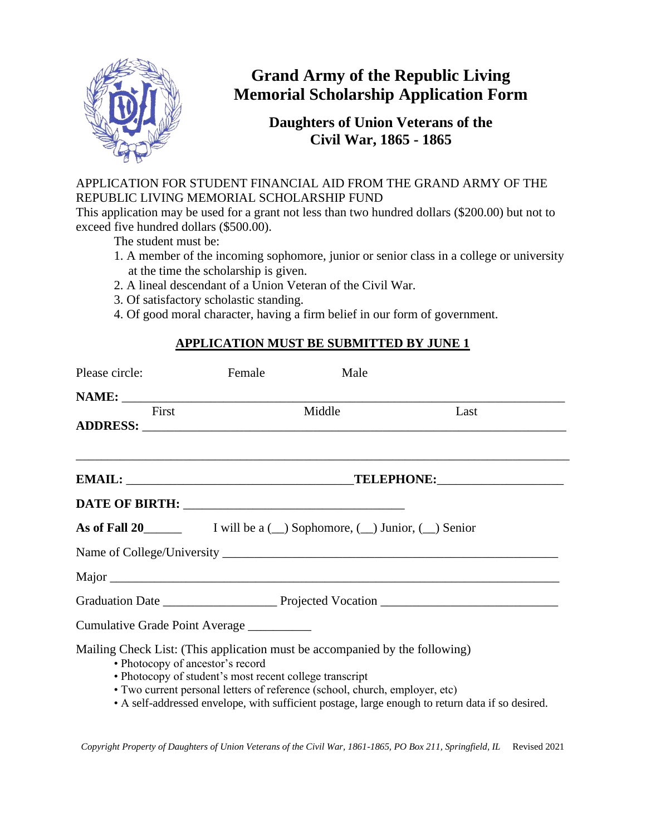

## **Grand Army of the Republic Living Memorial Scholarship Application Form**

## **Daughters of Union Veterans of the Civil War, 1865 - 1865**

## APPLICATION FOR STUDENT FINANCIAL AID FROM THE GRAND ARMY OF THE REPUBLIC LIVING MEMORIAL SCHOLARSHIP FUND

This application may be used for a grant not less than two hundred dollars (\$200.00) but not to exceed five hundred dollars (\$500.00).

The student must be:

- 1. A member of the incoming sophomore, junior or senior class in a college or university at the time the scholarship is given.
- 2. A lineal descendant of a Union Veteran of the Civil War.
- 3. Of satisfactory scholastic standing.
- 4. Of good moral character, having a firm belief in our form of government.

## **APPLICATION MUST BE SUBMITTED BY JUNE 1**

| Please circle: | Female                                                                                                                                                                                                                                                    | Male   |                                                                                                  |
|----------------|-----------------------------------------------------------------------------------------------------------------------------------------------------------------------------------------------------------------------------------------------------------|--------|--------------------------------------------------------------------------------------------------|
|                |                                                                                                                                                                                                                                                           |        |                                                                                                  |
| First          |                                                                                                                                                                                                                                                           | Middle | Last                                                                                             |
|                | ,我们也不能在这里的时候,我们也不能在这里的时候,我们也不能会在这里的时候,我们也不能会在这里的时候,我们也不能会在这里的时候,我们也不能会在这里的时候,我们也不                                                                                                                                                                         |        |                                                                                                  |
|                |                                                                                                                                                                                                                                                           |        |                                                                                                  |
|                |                                                                                                                                                                                                                                                           |        |                                                                                                  |
|                |                                                                                                                                                                                                                                                           |        |                                                                                                  |
|                |                                                                                                                                                                                                                                                           |        |                                                                                                  |
|                |                                                                                                                                                                                                                                                           |        |                                                                                                  |
|                | Cumulative Grade Point Average                                                                                                                                                                                                                            |        |                                                                                                  |
|                | Mailing Check List: (This application must be accompanied by the following)<br>• Photocopy of ancestor's record<br>• Photocopy of student's most recent college transcript<br>• Two current personal letters of reference (school, church, employer, etc) |        | • A self-addressed envelope, with sufficient postage, large enough to return data if so desired. |

*Copyright Property of Daughters of Union Veterans of the Civil War, 1861-1865, PO Box 211, Springfield, IL* Revised 2021